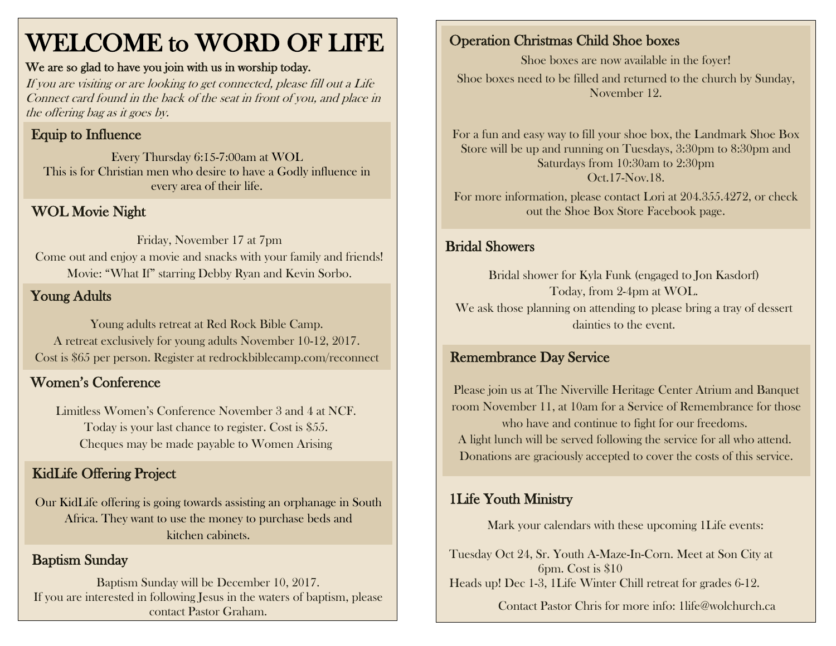# WELCOME to WORD OF LIFE

#### We are so glad to have you join with us in worship today.

If you are visiting or are looking to get connected, please fill out a Life Connect card found in the back of the seat in front of you, and place in the offering bag as it goes by.

## Equip to Influence

Every Thursday 6:15-7:00am at WOL This is for Christian men who desire to have a Godly influence in every area of their life.

#### WOL Movie Night

Friday, November 17 at 7pm Come out and enjoy a movie and snacks with your family and friends! Movie: "What If" starring Debby Ryan and Kevin Sorbo.

#### Young Adults

Young adults retreat at Red Rock Bible Camp. A retreat exclusively for young adults November 10-12, 2017. Cost is \$65 per person. Register at redrockbiblecamp.com/reconnect

#### Women's Conference

Limitless Women's Conference November 3 and 4 at NCF. Today is your last chance to register. Cost is \$55. Cheques may be made payable to Women Arising

#### KidLife Offering Project

Our KidLife offering is going towards assisting an orphanage in South Africa. They want to use the money to purchase beds and kitchen cabinets.

#### Baptism Sunday

Baptism Sunday will be December 10, 2017. If you are interested in following Jesus in the waters of baptism, please contact Pastor Graham.

## Operation Christmas Child Shoe boxes

Shoe boxes are now available in the foyer! Shoe boxes need to be filled and returned to the church by Sunday, November 12.

For a fun and easy way to fill your shoe box, the Landmark Shoe Box Store will be up and running on Tuesdays, 3:30pm to 8:30pm and Saturdays from 10:30am to 2:30pm Oct.17-Nov.18. For more information, please contact Lori at 204.355.4272, or check

out the Shoe Box Store Facebook page.

#### Bridal Showers

Bridal shower for Kyla Funk (engaged to Jon Kasdorf) Today, from 2-4pm at WOL. We ask those planning on attending to please bring a tray of dessert dainties to the event.

#### Remembrance Day Service

Please join us at The Niverville Heritage Center Atrium and Banquet room November 11, at 10am for a Service of Remembrance for those who have and continue to fight for our freedoms. A light lunch will be served following the service for all who attend. Donations are graciously accepted to cover the costs of this service.

### 1Life Youth Ministry

Mark your calendars with these upcoming 1Life events:

Tuesday Oct 24, Sr. Youth A-Maze-In-Corn. Meet at Son City at 6pm. Cost is \$10 Heads up! Dec 1-3, 1Life Winter Chill retreat for grades 6-12.

Contact Pastor Chris for more info: [1life@wolchurch.ca](mailto:1life@wolchurch.ca)